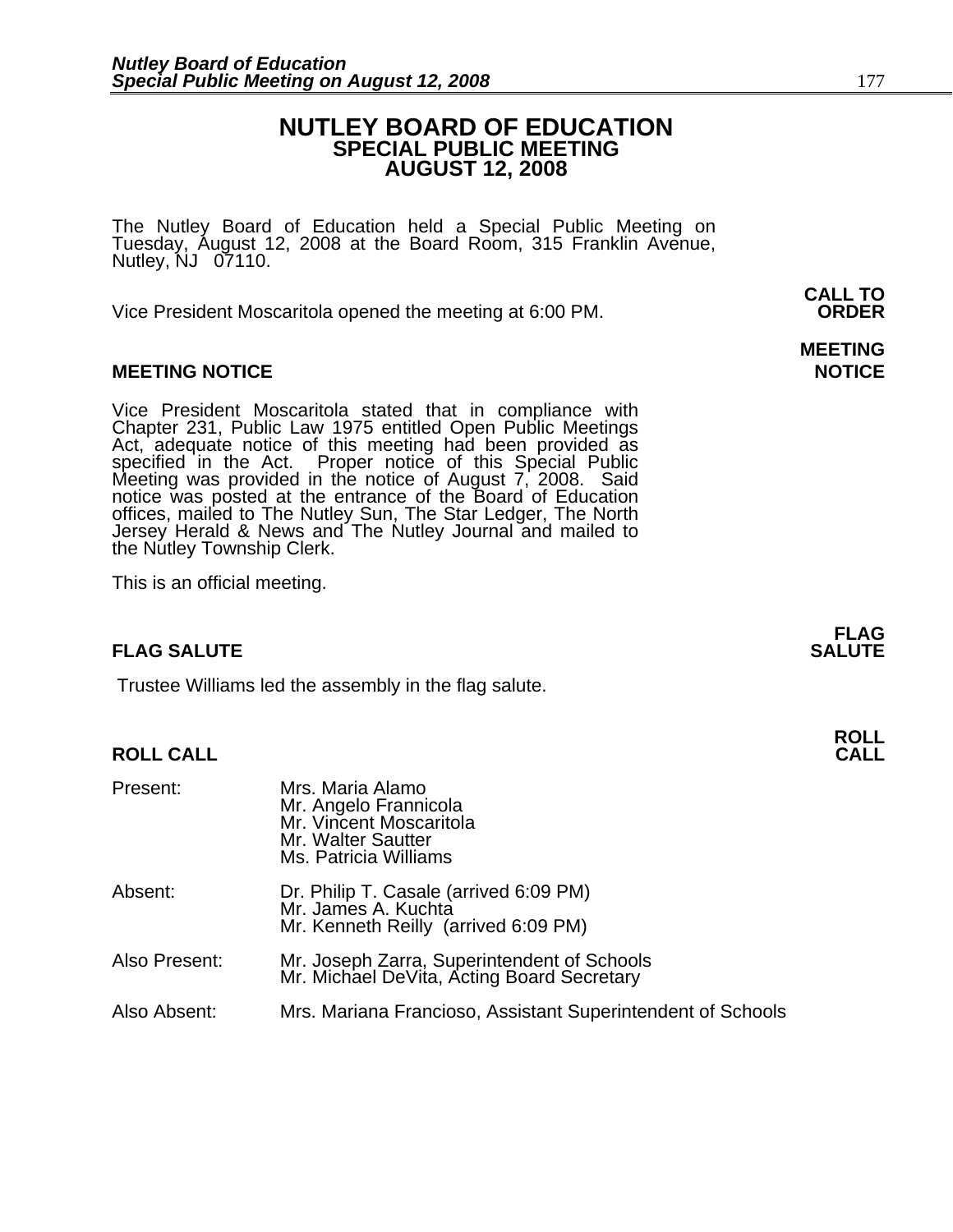# **NUTLEY BOARD OF EDUCATION SPECIAL PUBLIC MEETING AUGUST 12, 2008**

The Nutley Board of Education held a Special Public Meeting on Tuesday, August 12, 2008 at the Board Room, 315 Franklin Avenue, Nutley, NJ 07110.

 **CALL TO**  Vice President Moscaritola opened the meeting at 6:00 PM. **ORDER**

# **MEETING NOTICE NOTICE AND RESERVE ASSESS**

Vice President Moscaritola stated that in compliance with Chapter 231, Public Law 1975 entitled Open Public Meetings Act, adequate notice of this meeting had been provided as specified in the Act. Proper notice of this Special Public<br>Meeting was provided in the notice of August 7, 2008. Said<br>notice was posted at the entrance of the Board of Education offices, mailed to The Nutley Sun, The Star Ledger, The North<br>Jersey Herald & News and The Nutley Journal and mailed to the Nutley Township Clerk.

This is an official meeting.

# **FLAG SALUTE** SALUTE SALUTE SALUTE SALUTE SALUTE

Trustee Williams led the assembly in the flag salute.

# **ROLL ROLL CALL CALL**

| Present:      | Mrs. Maria Alamo<br>Mr. Angelo Frannicola<br>Mr. Vincent Moscaritola<br>Mr. Walter Sautter<br>Ms. Patricia Williams |
|---------------|---------------------------------------------------------------------------------------------------------------------|
| Absent:       | Dr. Philip T. Casale (arrived 6:09 PM)<br>Mr. James A. Kuchta<br>Mr. Kenneth Reilly (arrived 6:09 PM)               |
| Also Present: | Mr. Joseph Zarra, Superintendent of Schools<br>Mr. Michael DeVita, Acting Board Secretary                           |
| Also Absent:  | Mrs. Mariana Francioso, Assistant Superintendent of Schools                                                         |

# **MEETING**

**FLAG**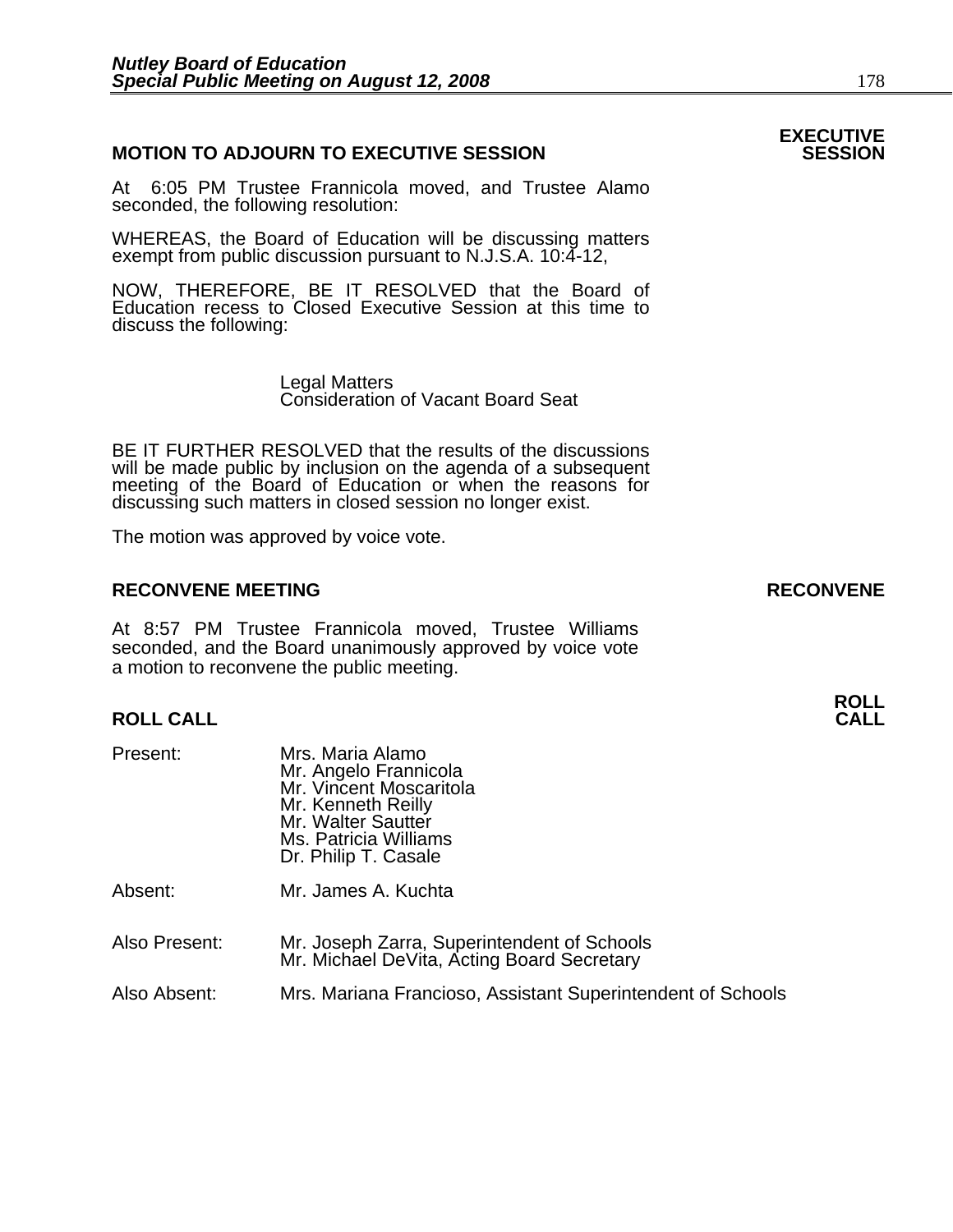# **MOTION TO ADJOURN TO EXECUTIVE SESSION**

At 6:05 PM Trustee Frannicola moved, and Trustee Alamo seconded, the following resolution:

WHEREAS, the Board of Education will be discussing matters exempt from public discussion pursuant to N.J.S.A. 10:4-12,

NOW, THEREFORE, BE IT RESOLVED that the Board of Education recess to Closed Executive Session at this time to discuss the following:

> Legal Matters Consideration of Vacant Board Seat

BE IT FURTHER RESOLVED that the results of the discussions will be made public by inclusion on the agenda of a subsequent meeting of the Board of Education or when the reasons for discussing such matters in closed session no longer exist.

The motion was approved by voice vote.

### **RECONVENE MEETING RECONVENE**

At 8:57 PM Trustee Frannicola moved, Trustee Williams seconded, and the Board unanimously approved by voice vote a motion to reconvene the public meeting.

# **ROLL ROLL CALL CALL**

- Present: Mrs. Maria Alamo<br>Mr. Angelo Frannicola Mr. Vincent Moscaritola<br>Mr. Kenneth Reilly Mr. Walter Sautter Ms. Patricia Williams Dr. Philip T. Casale Absent: Mr. James A. Kuchta
- Also Present: Mr. Joseph Zarra, Superintendent of Schools Mr. Michael DeVita, Acting Board Secretary

Also Absent: Mrs. Mariana Francioso, Assistant Superintendent of Schools

# **EXECUTIVE**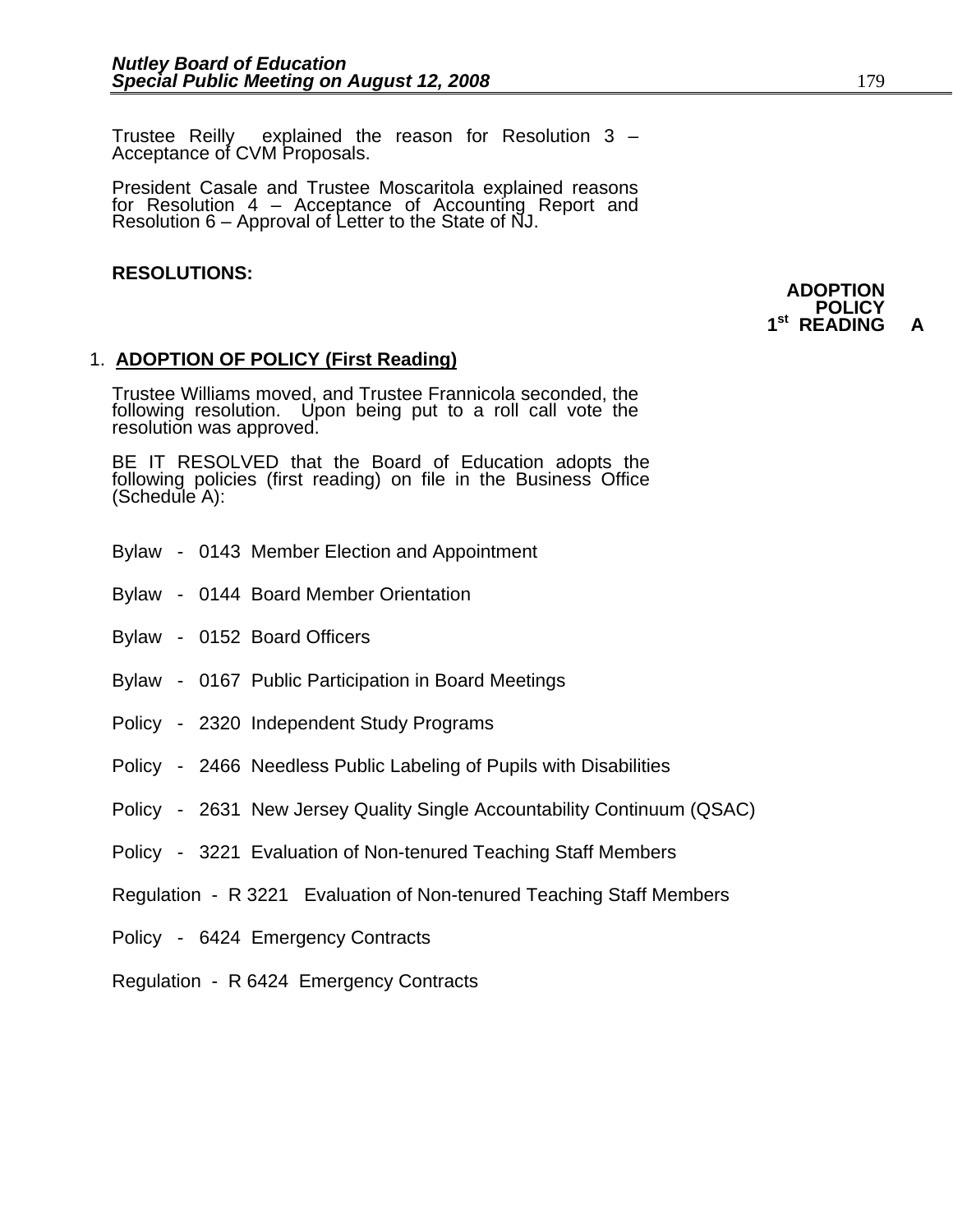Trustee Reilly explained the reason for Resolution 3 – Acceptance of CVM Proposals.

President Casale and Trustee Moscaritola explained reasons for Resolution 4 – Acceptance of Accounting Report and Resolution 6 – Approval of Letter to the State of NJ.

### **RESOLUTIONS:**

### **ADOPTION POLICY 1st READING A**

# 1. **ADOPTION OF POLICY (First Reading)**

Trustee Williams moved, and Trustee Frannicola seconded, the following resolution. Upon being put to a roll call vote the resolution was approved.

BE IT RESOLVED that the Board of Education adopts the following policies (first reading) on file in the Business Office (Schedule A):

- Bylaw 0143 Member Election and Appointment
- Bylaw 0144 Board Member Orientation
- Bylaw 0152 Board Officers
- Bylaw 0167 Public Participation in Board Meetings
- Policy 2320 Independent Study Programs
- Policy 2466 Needless Public Labeling of Pupils with Disabilities
- Policy 2631 New Jersey Quality Single Accountability Continuum (QSAC)
- Policy 3221 Evaluation of Non-tenured Teaching Staff Members
- Regulation R 3221 Evaluation of Non-tenured Teaching Staff Members
- Policy 6424 Emergency Contracts
- Regulation R 6424 Emergency Contracts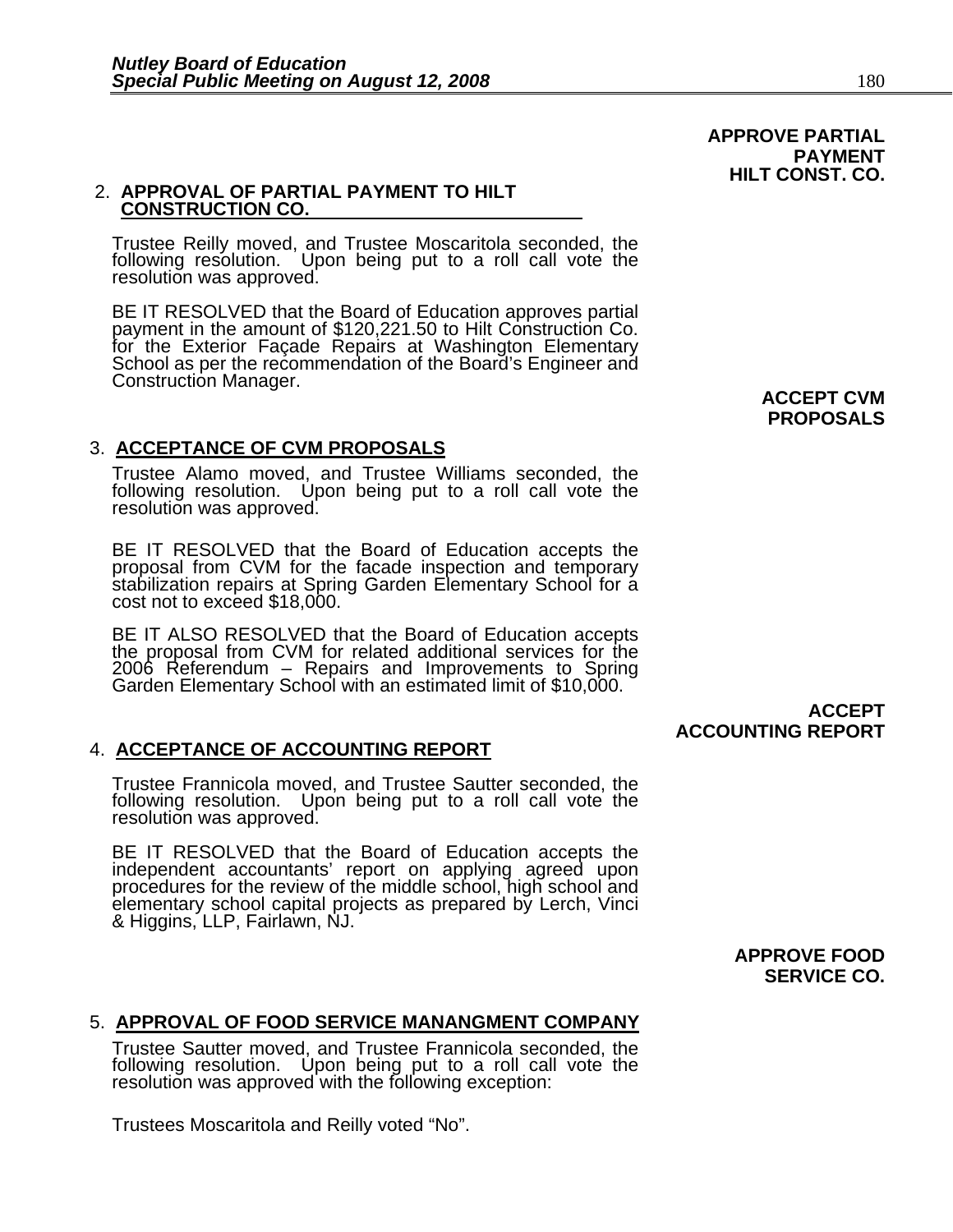# 2. **APPROVAL OF PARTIAL PAYMENT TO HILT CONSTRUCTION CO.**

Trustee Reilly moved, and Trustee Moscaritola seconded, the following resolution. Upon being put to a roll call vote the resolution was approved.

BE IT RESOLVED that the Board of Education approves partial payment in the amount of \$120,221.50 to Hilt Construction Co. for the Exterior Façade Repairs at Washington Elementary<br>School as per the recommendation of the Board's Engineer and<br>Construction Manager. **ACCEPT CVM** 

# 3. **ACCEPTANCE OF CVM PROPOSALS**

Trustee Alamo moved, and Trustee Williams seconded, the following resolution. Upon being put to a roll call vote the resolution was approved.

BE IT RESOLVED that the Board of Education accepts the proposal from CVM for the facade inspection and temporary stabilization repairs at Spring Garden Elementary School for a cost not to exceed \$18,000.

BE IT ALSO RESOLVED that the Board of Education accepts the proposal from CVM for related additional services for the 2006 Referendum – Repairs and Improvements to Spring Garden Elementary School with an estimated limit of \$10,000.

# 4. **ACCEPTANCE OF ACCOUNTING REPORT**

Trustee Frannicola moved, and Trustee Sautter seconded, the following resolution. Upon being put to a roll call vote the resolution was approved.

BE IT RESOLVED that the Board of Education accepts the independent accountants' report on applying agreed upon procedures for the review of the middle school, high school and elementary school capital projects as prepared by Lerch, Vinci & Higgins, LLP, Fairlawn, NJ. **PROPOSALS** 

 **APPROVE PARTIAL** 

**HILT CONST. CO.** 

**PAYMENT** 

# **ACCEPT ACCOUNTING REPORT**

**APPROVE FOOD SERVICE CO.** 

# 5. **APPROVAL OF FOOD SERVICE MANANGMENT COMPANY**

Trustee Sautter moved, and Trustee Frannicola seconded, the following resolution. Upon being put to a roll call vote the resolution was approved with the following exception:

Trustees Moscaritola and Reilly voted "No".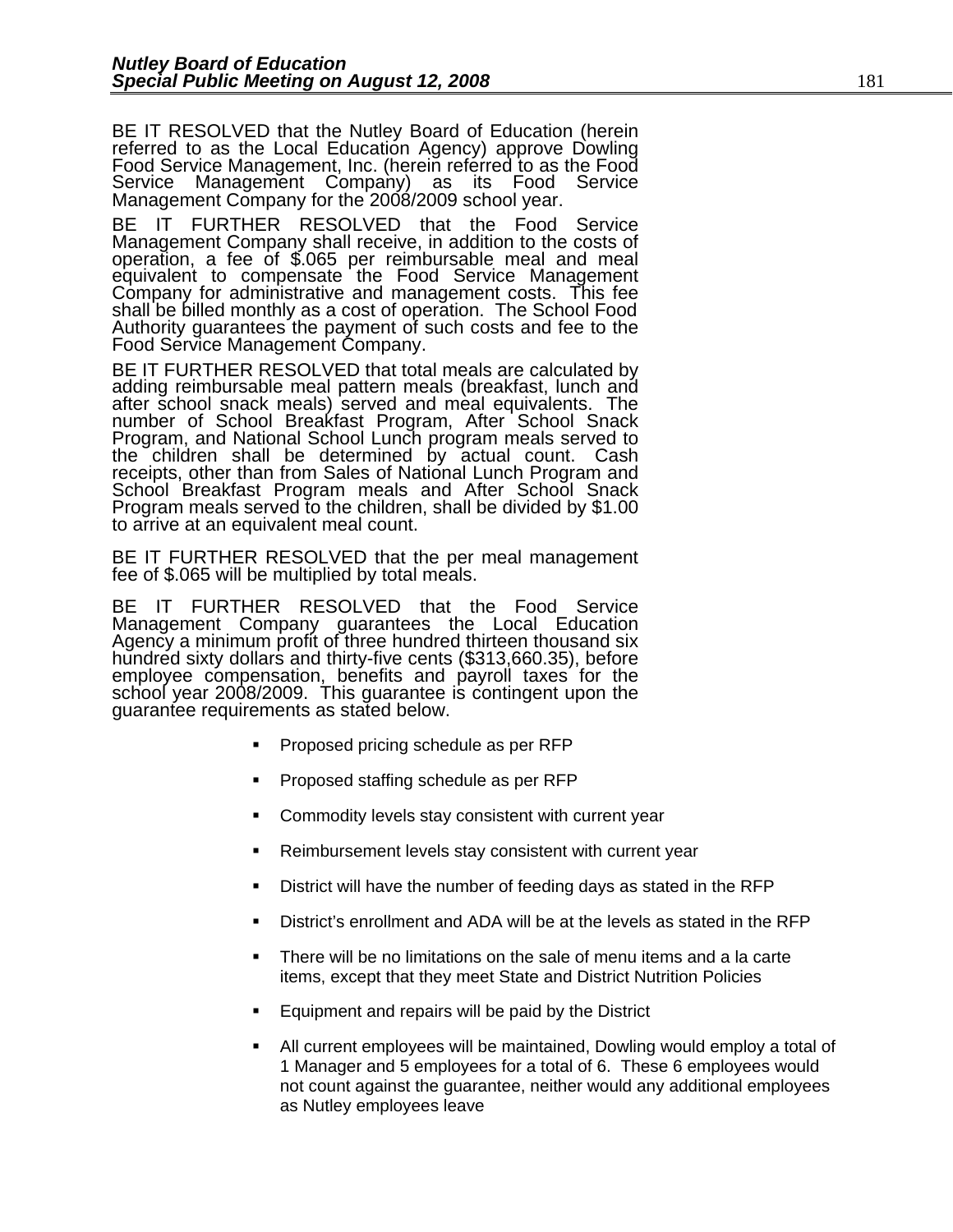BE IT RESOLVED that the Nutley Board of Education (herein referred to as the Local Education Agency) approve Dowling Food Service Management, Inc. (herein referred to as the Food Service Management Company) as its Food Service Management Company for the 2008/2009 school year.

BE IT FURTHER RESOLVED that the Food Service Management Company shall receive, in addition to the costs of operation, a fee of \$.065 per reimbursable meal and meal equivalent to compensate the Food Service Management<br>Company for administrative and management costs. This fee shall be billed monthly as a cost of operation. The School Food<br>Authority guarantees the payment of such costs and fee to the Food Service Management Company.

BE IT FURTHER RESOLVED that total meals are calculated by adding reimbursable meal pattern meals (breakfast, lunch and after school snack meals) served and meal equivalents. The<br>number of School Breakfast Program, After School Snack<br>Program, and National School Lunch program meals served to<br>the children shall be determined by actual count. Program meals served to the children, shall be divided by \$1.00 to arrive at an equivalent meal count.

BE IT FURTHER RESOLVED that the per meal management fee of \$.065 will be multiplied by total meals.

BE IT FURTHER RESOLVED that the Food Service Management Company guarantees the Local Education Agency a minimum profit of three hundred thirteen thousand six<br>hundred sixty dollars and thirty-five cents (\$313,660.35), before employee compensation, benefits and payroll taxes for the school year 2008/2009. This guarantee is contingent upon the guarantee requirements as stated below.

- Proposed pricing schedule as per RFP
- Proposed staffing schedule as per RFP
- Commodity levels stay consistent with current year
- Reimbursement levels stay consistent with current year
- District will have the number of feeding days as stated in the RFP
- District's enrollment and ADA will be at the levels as stated in the RFP
- There will be no limitations on the sale of menu items and a la carte items, except that they meet State and District Nutrition Policies
- Equipment and repairs will be paid by the District
- All current employees will be maintained, Dowling would employ a total of 1 Manager and 5 employees for a total of 6. These 6 employees would not count against the guarantee, neither would any additional employees as Nutley employees leave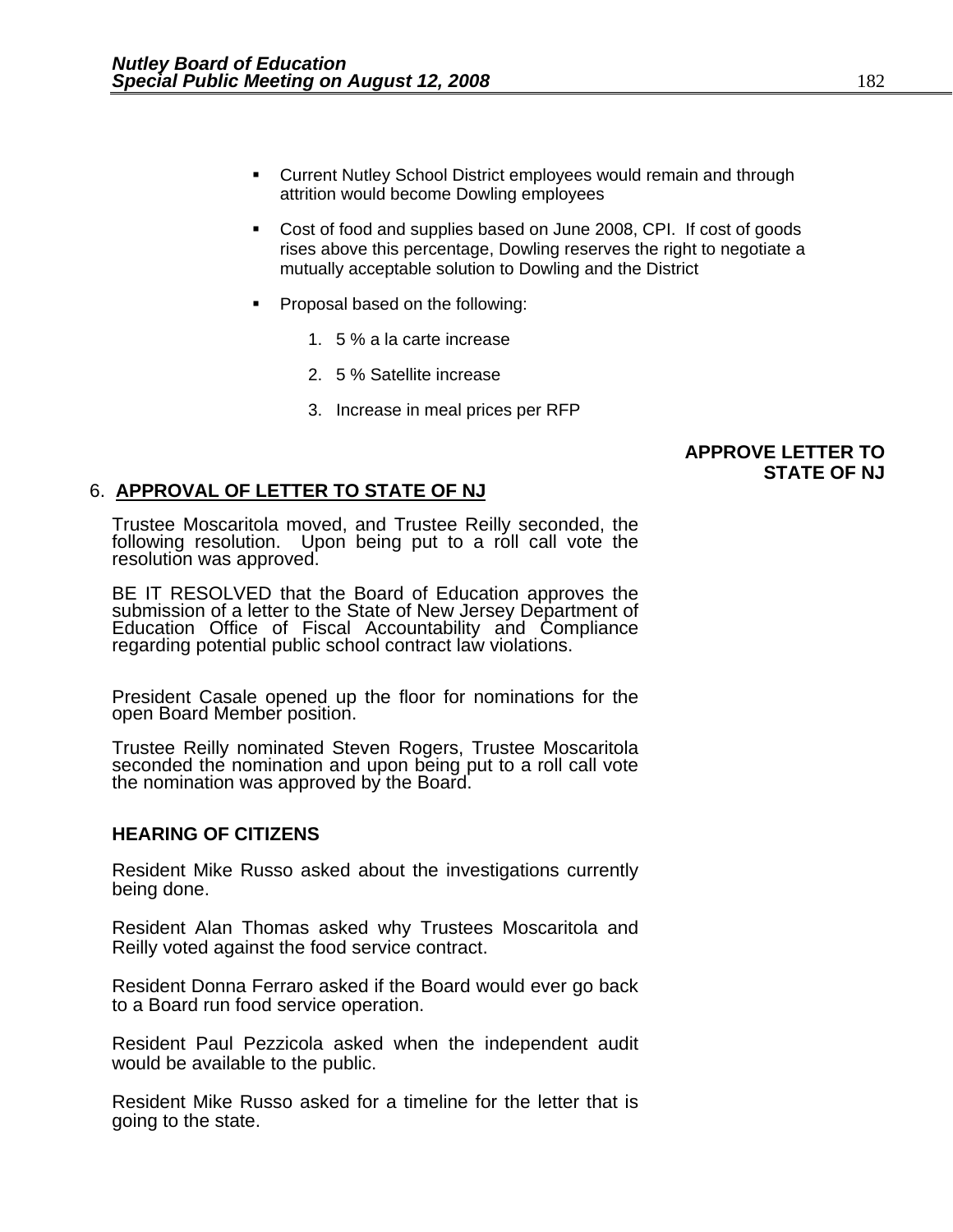- Current Nutley School District employees would remain and through attrition would become Dowling employees
- Cost of food and supplies based on June 2008, CPI. If cost of goods rises above this percentage, Dowling reserves the right to negotiate a mutually acceptable solution to Dowling and the District
- **Proposal based on the following:** 
	- 1. 5 % a la carte increase
	- 2. 5 % Satellite increase
	- 3. Increase in meal prices per RFP

# **APPROVE LETTER TO STATE OF NJ**

# 6. **APPROVAL OF LETTER TO STATE OF NJ**

Trustee Moscaritola moved, and Trustee Reilly seconded, the following resolution. Upon being put to a roll call vote the resolution was approved.

BE IT RESOLVED that the Board of Education approves the submission of a letter to the State of New Jersey Department of Education Office of Fiscal Accountability and Compliance regarding potential public school contract law violations.

President Casale opened up the floor for nominations for the open Board Member position.

Trustee Reilly nominated Steven Rogers, Trustee Moscaritola seconded the nomination and upon being put to a roll call vote the nomination was approved by the Board.

# **HEARING OF CITIZENS**

Resident Mike Russo asked about the investigations currently being done.

Resident Alan Thomas asked why Trustees Moscaritola and Reilly voted against the food service contract.

Resident Donna Ferraro asked if the Board would ever go back to a Board run food service operation.

Resident Paul Pezzicola asked when the independent audit would be available to the public.

Resident Mike Russo asked for a timeline for the letter that is going to the state.